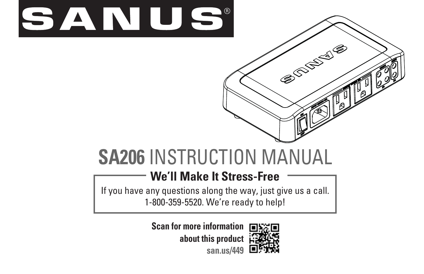

# **SA206** INSTRUCTION MANUAL

### **We'll Make It Stress-Free**

If you have any questions along the way, just give us a call. 1-800-359-5520. We're ready to help!

> **Scan for more information about this product san.us/449**



**CONSTRUCTION**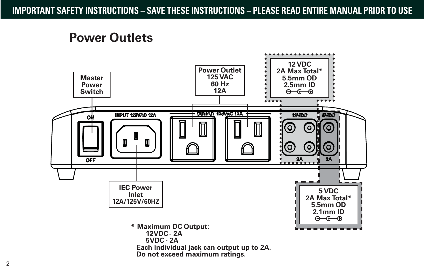### **Power Outlets**

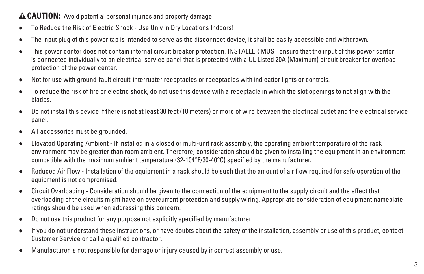#### **A CAUTION:** Avoid potential personal injuries and property damage!

- **●**To Reduce the Risk of Electric Shock - Use Only in Dry Locations Indoors!
- **●**The input plug of this power tap is intended to serve as the disconnect device, it shall be easily accessible and withdrawn.
- **●** This power center does not contain internal circuit breaker protection. INSTALLER MUST ensure that the input of this power center is connected individually to an electrical service panel that is protected with a UL Listed 20A (Maximum) circuit breaker for overload protection of the power center.
- **●**Not for use with ground-fault circuit-interrupter receptacles or receptacles with indicatior lights or controls.
- **●** To reduce the risk of fire or electric shock, do not use this device with a receptacle in which the slot openings to not align with the blades.
- **●** Do not install this device if there is not at least 30 feet (10 meters) or more of wire between the electrical outlet and the electrical service panel.
- **●**All accessories must be grounded.
- **●** Elevated Operating Ambient - If installed in a closed or multi-unit rack assembly, the operating ambient temperature of the rack environment may be greater than room ambient. Therefore, consideration should be given to installing the equipment in an environment compatible with the maximum ambient temperature (32-104°F/30-40°C) specified by the manufacturer.
- **●**Reduced Air Flow - Installation of the equipment in a rack should be such that the amount of air flow required for safe operation of the equipment is not compromised.
- **●**Circuit Overloading - Consideration should be given to the connection of the equipment to the supply circuit and the effect that overloading of the circuits might have on overcurrent protection and supply wiring. Appropriate consideration of equipment nameplate ratings should be used when addressing this concern.
- **●**Do not use this product for any purpose not explicitly specified by manufacturer.
- **●** If you do not understand these instructions, or have doubts about the safety of the installation, assembly or use of this product, contact Customer Service or call a qualified contractor.
- **●**Manufacturer is not responsible for damage or injury caused by incorrect assembly or use.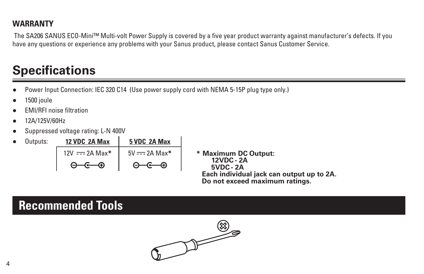#### **WARRANTY**

 The SA206 SANUS ECO-Mini™ Multi-volt Power Supply is covered by a five year product warranty against manufacturer's defects. If you have any questions or experience any problems with your Sanus product, please contact Sanus Customer Service.

### **Specifications**

- **●**Power Input Connection: IEC 320 C14 (Use power supply cord with NEMA 5-15P plug type only.)
- **●**1500 joule
- **●**EMI/RFI noise filtration
- **●**12A/125V/60Hz
- **●**Suppressed voltage rating: L-N 400V

**●**

### Outputs: **12 VDC 2A Max 5 VDC 2A Max** 12V == 2A Max<sup>\*</sup>

 5V 2A Max**\* \* Maximum DC Output: 12VDC - 2A 5VDC - 2A Each individual jack can output up to 2A. Do not exceed maximum ratings.**

### **Recommended Tools**

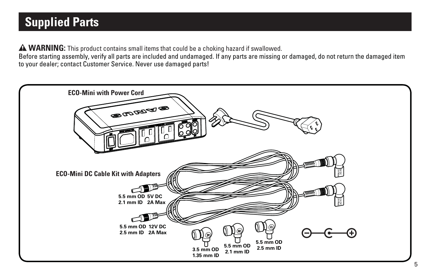### **Supplied Parts**

**WARNING:** This product contains small items that could be a choking hazard if swallowed.

Before starting assembly, verify all parts are included and undamaged. If any parts are missing or damaged, do not return the damaged item to your dealer; contact Customer Service. Never use damaged parts!

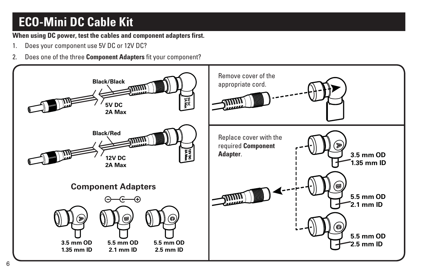### **ECO-Mini DC Cable Kit**

**When using DC power, test the cables and component adapters first.**

- 1. Does your component use 5V DC or 12V DC?
- 2. Does one of the three **Component Adapters** fit your component?

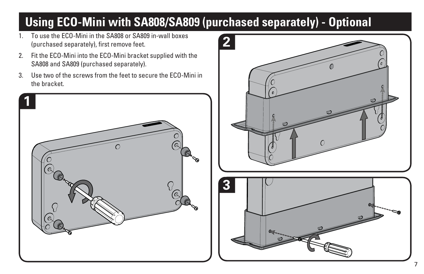### **Using ECO-Mini with SA808/SA809 (purchased separately) - Optional**

- 1. To use the ECO-Mini in the SA808 or SA809 in-wall boxes (purchased separately), first remove feet.
- 2. Fit the ECO-Mini into the ECO-Mini bracket supplied with the SA808 and SA809 (purchased separately).
- 3. Use two of the screws from the feet to secure the ECO-Mini in the bracket.



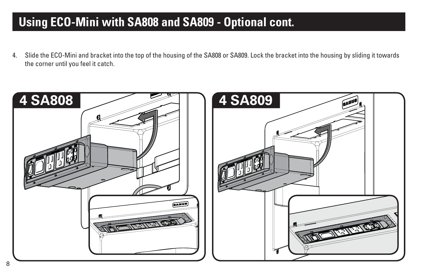### **Using ECO-Mini with SA808 and SA809 - Optional cont.**

4. Slide the ECO-Mini and bracket into the top of the housing of the SA808 or SA809. Lock the bracket into the housing by sliding it towards the corner until you feel it catch.

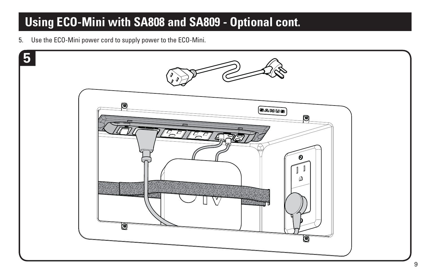### **Using ECO-Mini with SA808 and SA809 - Optional cont.**

5. Use the ECO-Mini power cord to supply power to the ECO-Mini.

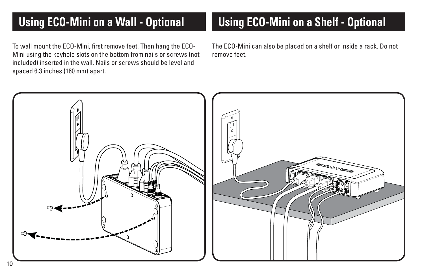To wall mount the ECO-Mini, first remove feet. Then hang the ECO-Mini using the keyhole slots on the bottom from nails or screws (not included) inserted in the wall. Nails or screws should be level and spaced 6.3 inches (160 mm) apart.

### **Using ECO-Mini on a Wall - Optional Using ECO-Mini on a Shelf - Optional**

The ECO-Mini can also be placed on a shelf or inside a rack. Do not remove feet.

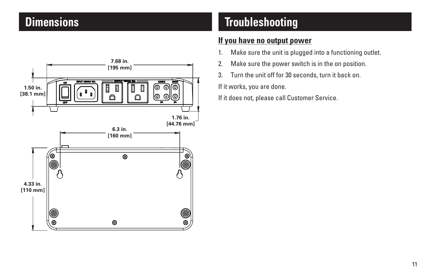### **Dimensions**



### **Troubleshooting**

#### **If you have no output power**

- 1. Make sure the unit is plugged into a functioning outlet.
- 2. Make sure the power switch is in the on position.
- 3. Turn the unit off for 30 seconds, turn it back on.

If it works, you are done.

If it does not, please call Customer Service.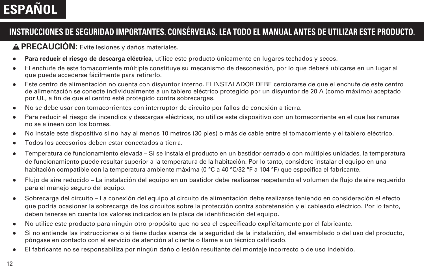### **ESPAÑOL**

#### **INSTRUCCIONES DE SEGURIDAD IMPORTANTES. CONSÉRVELAS. LEA TODO EL MANUAL ANTES DE UTILIZAR ESTE PRODUCTO.**

#### **PRECAUCIÓN:** Evite lesiones y daños materiales.

- **●Para reducir el riesgo de descarga eléctrica,** utilice este producto únicamente en lugares techados y secos.
- **●** El enchufe de este tomacorriente múltiple constituye su mecanismo de desconexión, por lo que deberá ubicarse en un lugar al que pueda accederse fácilmente para retirarlo.
- **●** Este centro de alimentación no cuenta con disyuntor interno. El INSTALADOR DEBE cerciorarse de que el enchufe de este centro de alimentación se conecte individualmente a un tablero eléctrico protegido por un disyuntor de 20 A (como máximo) aceptado por UL, a fin de que el centro esté protegido contra sobrecargas.
- **●**No se debe usar con tomacorrientes con interruptor de circuito por fallos de conexión a tierra.
- **●** Para reducir el riesgo de incendios y descargas eléctricas, no utilice este dispositivo con un tomacorriente en el que las ranuras no se alineen con los bornes.
- **●**No instale este dispositivo si no hay al menos 10 metros (30 pies) o más de cable entre el tomacorriente y el tablero eléctrico.
- **●**Todos los accesorios deben estar conectados a tierra.
- **●** Temperatura de funcionamiento elevada – Si se instala el producto en un bastidor cerrado o con múltiples unidades, la temperatura de funcionamiento puede resultar superior a la temperatura de la habitación. Por lo tanto, considere instalar el equipo en una habitación compatible con la temperatura ambiente máxima (0 °C a 40 °C/32 °F a 104 °F) que especifica el fabricante.
- **●** Flujo de aire reducido – La instalación del equipo en un bastidor debe realizarse respetando el volumen de flujo de aire requerido para el manejo seguro del equipo.
- **●** Sobrecarga del circuito – La conexión del equipo al circuito de alimentación debe realizarse teniendo en consideración el efecto que podría ocasionar la sobrecarga de los circuitos sobre la protección contra sobretensión y el cableado eléctrico. Por lo tanto, deben tenerse en cuenta los valores indicados en la placa de identificación del equipo.
- **●**No utilice este producto para ningún otro propósito que no sea el especificado explícitamente por el fabricante.
- **●** Si no entiende las instrucciones o si tiene dudas acerca de la seguridad de la instalación, del ensamblado o del uso del producto, póngase en contacto con el servicio de atención al cliente o llame a un técnico calificado.
- **●**El fabricante no se responsabiliza por ningún daño o lesión resultante del montaje incorrecto o de uso indebido.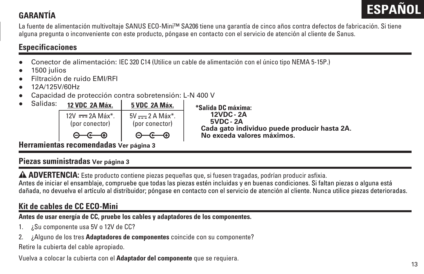### **GARANTÍA**

**ESPAÑOL** 

La fuente de alimentación multivoltaje SANUS ECO-Mini™ SA206 tiene una garantía de cinco años contra defectos de fabricación. Si tiene alguna pregunta o inconveniente con este producto, póngase en contacto con el servicio de atención al cliente de Sanus.

#### **Especificaciones**

- **●**Conector de alimentación: IEC 320 C14 (Utilice un cable de alimentación con el único tipo NEMA 5-15P.)
- **●**1500 julios
- **●**Filtración de ruido EMI/RFI
- **●**12A/125V/60Hz
- **●**Capacidad de protección contra sobretensión: L-N 400 V



#### **Piezas suministradas Ver página 3**

**ADVERTENCIA:** Este producto contiene piezas pequeñas que, si fuesen tragadas, podrían producir asfixia. Antes de iniciar el ensamblaje, compruebe que todas las piezas estén incluidas y en buenas condiciones. Si faltan piezas o alguna está dañada, no devuelva el artículo al distribuidor; póngase en contacto con el servicio de atención al cliente. Nunca utilice piezas deterioradas.

#### **Kit de cables de CC ECO-Mini**

**Antes de usar energía de CC, pruebe los cables y adaptadores de los componentes.**

- 1. *i* Su componente usa 5V o 12V de CC?
- 2. ¿Alguno de los tres **Adaptadores de componentes** coincide con su componente?

Retire la cubierta del cable apropiado.

Vuelva a colocar la cubierta con el **Adaptador del componente** que se requiera.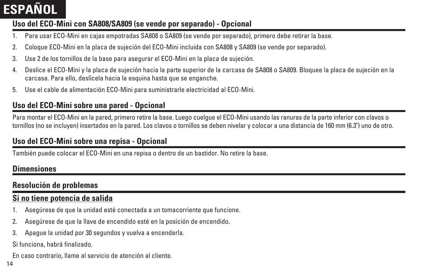### **ESPAÑOL**

#### **Uso del ECO-Mini con SA808/SA809 (se vende por separado) - Opcional**

- 1. Para usar ECO-Mini en cajas empotradas SA808 o SA809 (se vende por separado), primero debe retirar la base.
- 2. Coloque ECO-Mini en la placa de sujeción del ECO-Mini incluida con SA808 y SA809 (se vende por separado).
- 3. Use 2 de los tornillos de la base para asegurar el ECO-Mini en la placa de sujeción.
- 4. Deslice el ECO-Mini y la placa de sujeción hacia la parte superior de la carcasa de SA808 o SA809. Bloquee la placa de sujeción en la carcasa. Para ello, deslícela hacia la esquina hasta que se enganche.
- 5. Use el cable de alimentación ECO-Mini para suministrarle electricidad al ECO-Mini.

#### **Uso del ECO-Mini sobre una pared - Opcional**

Para montar el ECO-Mini en la pared, primero retire la base. Luego cuelgue el ECO-Mini usando las ranuras de la parte inferior con clavos o tornillos (no se incluyen) insertados en la pared. Los clavos o tornillos se deben nivelar y colocar a una distancia de 160 mm (6.3") uno de otro.

#### **Uso del ECO-Mini sobre una repisa - Opcional**

También puede colocar el ECO-Mini en una repisa o dentro de un bastidor. No retire la base.

#### **Dimensiones**

#### **Resolución de problemas**

#### **Si no tiene potencia de salida**

- 1. Asegúrese de que la unidad esté conectada a un tomacorriente que funcione.
- 2. Asegúrese de que la llave de encendido esté en la posición de encendido.
- 3. Apague la unidad por 30 segundos y vuelva a encenderla.

#### Si funciona, habrá finalizado.

En caso contrario, llame al servicio de atención al cliente.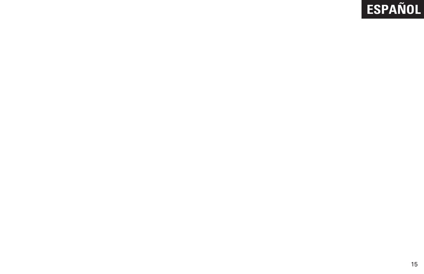## **ESPAÑOL**